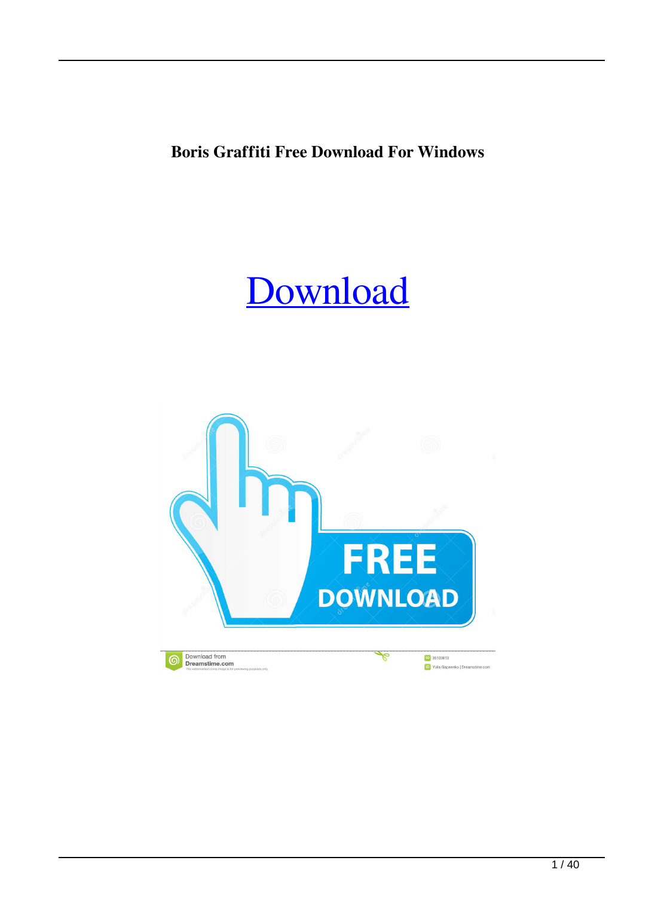**Boris Graffiti Free Download For Windows**

## [Download](http://evacdir.com/ZG93bmxvYWR8T1U3TVdSdWEzeDhNVFkxTkRVeU1qRXhNSHg4TWpVNU1IeDhLRTBwSUZkdmNtUndjbVZ6Y3lCYldFMU1VbEJESUZZeUlGQkVSbDA.transformer/unsung/bibles/genorasa/pollutes/pulmonary&Qm9yaXMgR3JhZmZpdGkQm9/texture)

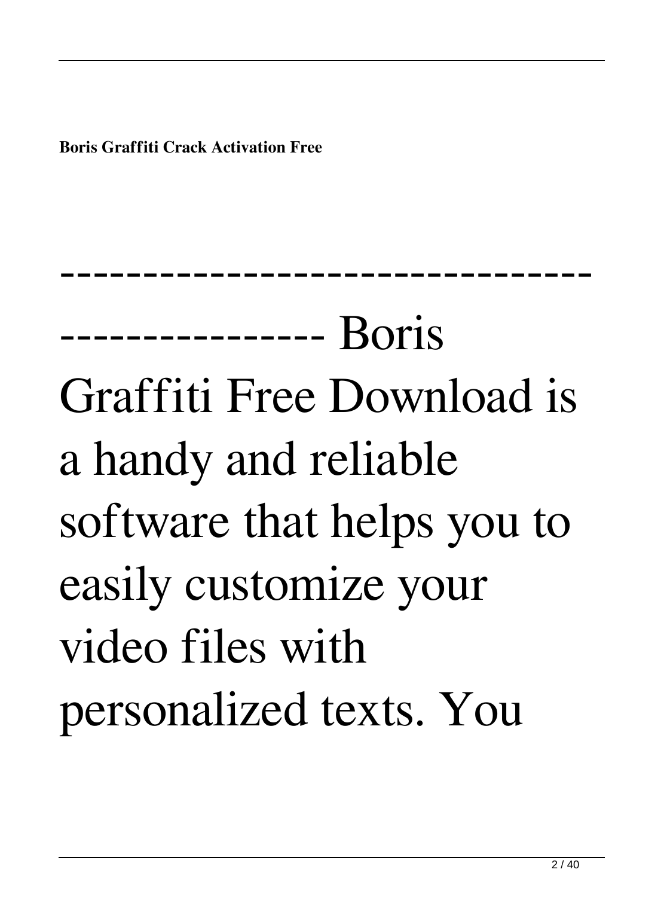**Boris Graffiti Crack Activation Free**

---------------- Boris Graffiti Free Download is a handy and reliable software that helps you to easily customize your video files with personalized texts. You

--------------------------------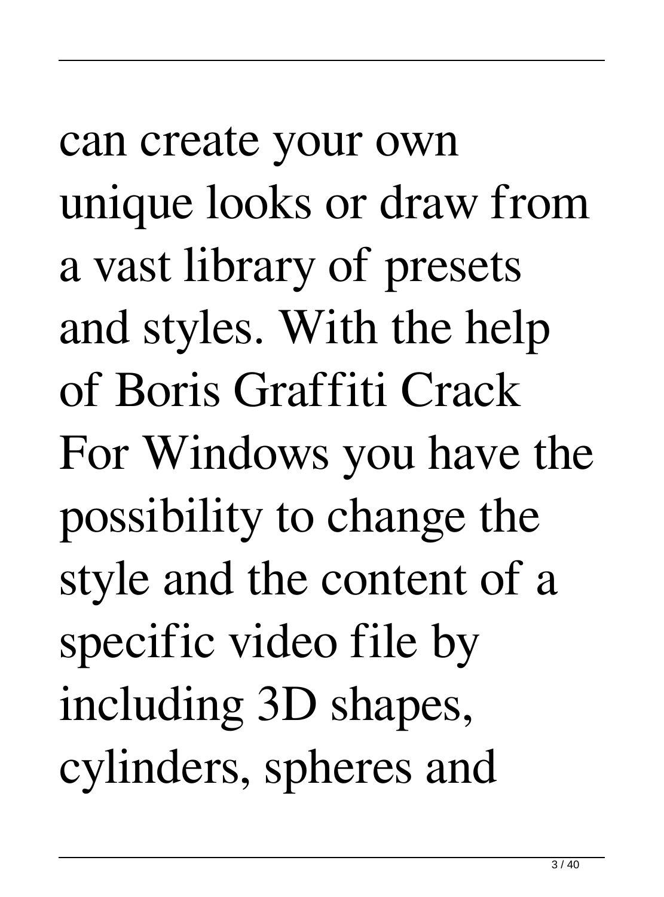can create your own unique looks or draw from a vast library of presets and styles. With the help of Boris Graffiti Crack For Windows you have the possibility to change the style and the content of a specific video file by including 3D shapes, cylinders, spheres and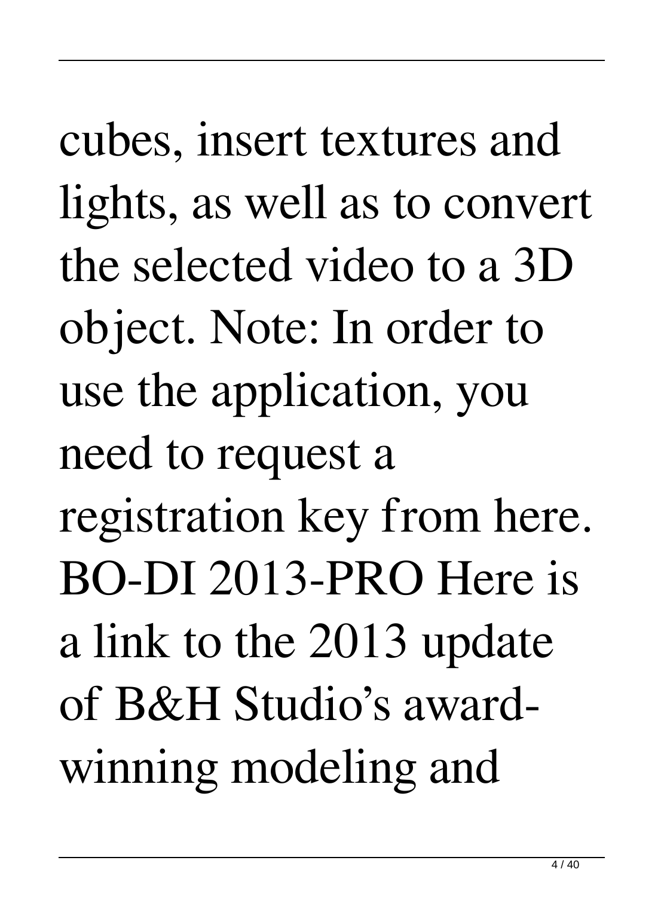cubes, insert textures and lights, as well as to convert the selected video to a 3D object. Note: In order to use the application, you need to request a registration key from here. BO-DI 2013-PRO Here is a link to the 2013 update of B&H Studio's awardwinning modeling and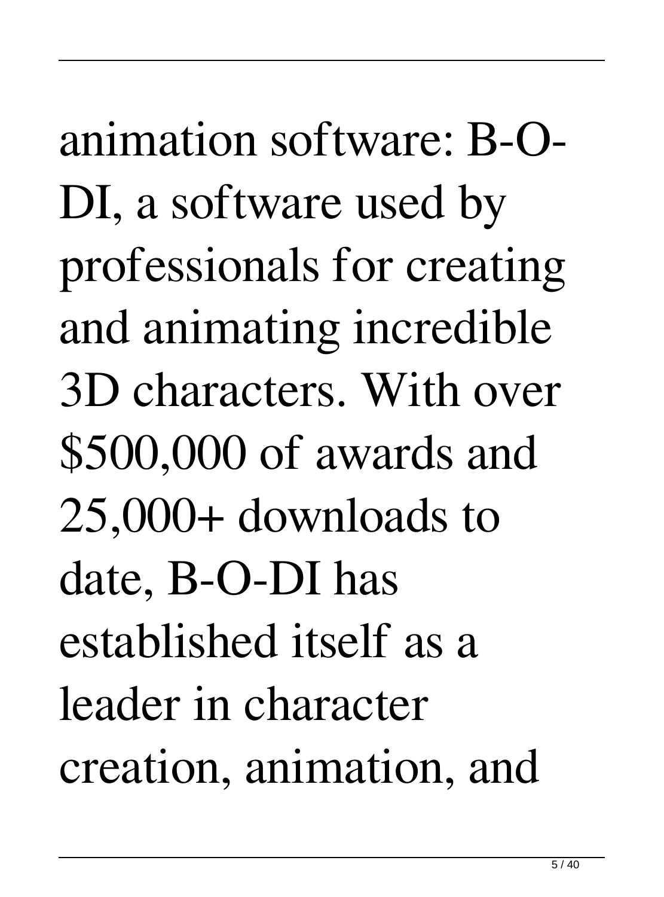animation software: B-O-DI, a software used by professionals for creating and animating incredible 3D characters. With over \$500,000 of awards and 25,000+ downloads to date, B-O-DI has established itself as a leader in character creation, animation, and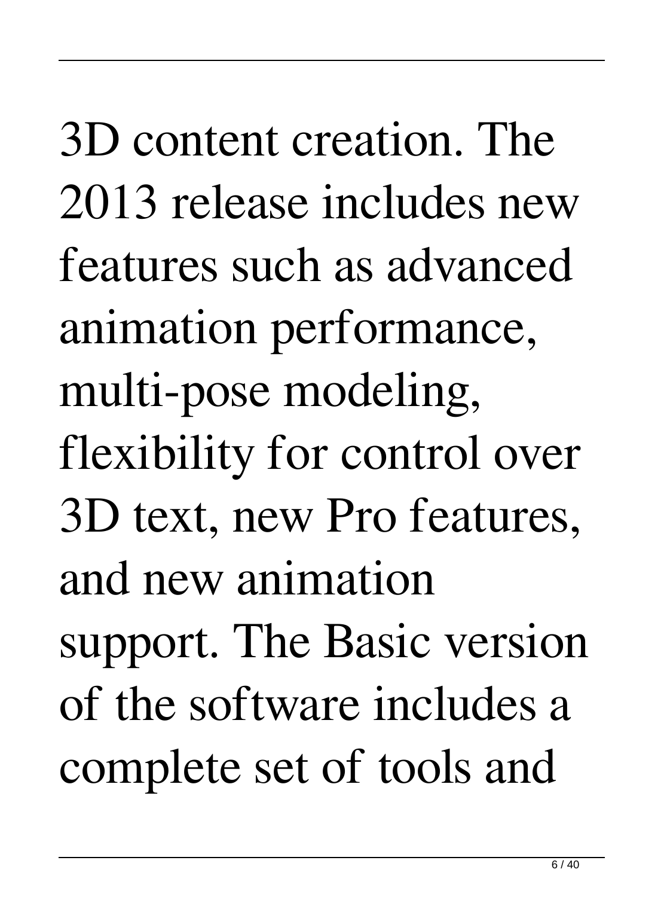3D content creation. The 2013 release includes new features such as advanced animation performance, multi-pose modeling, flexibility for control over 3D text, new Pro features, and new animation support. The Basic version of the software includes a complete set of tools and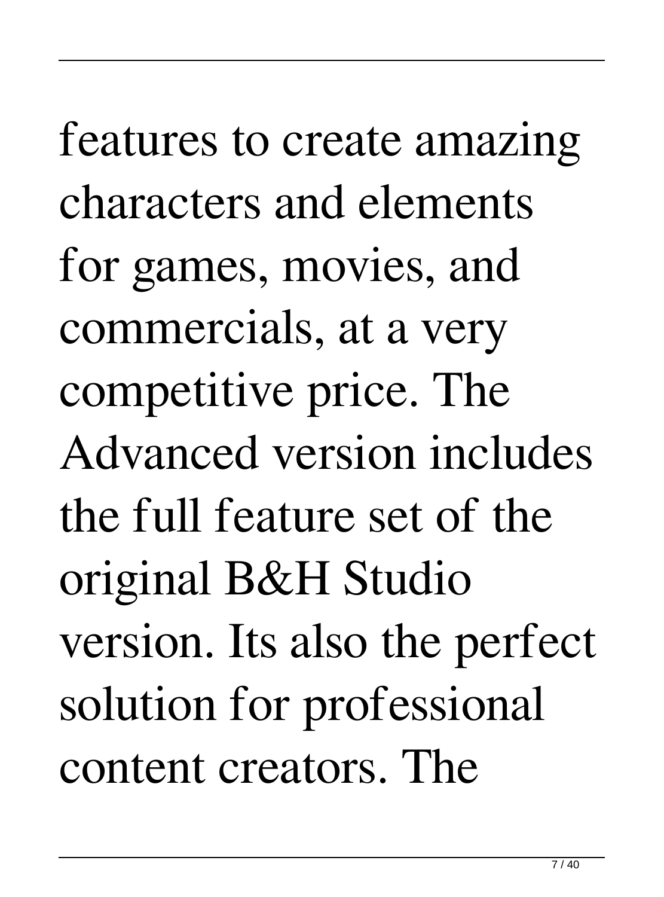features to create amazing characters and elements for games, movies, and commercials, at a very competitive price. The Advanced version includes the full feature set of the original B&H Studio version. Its also the perfect solution for professional content creators. The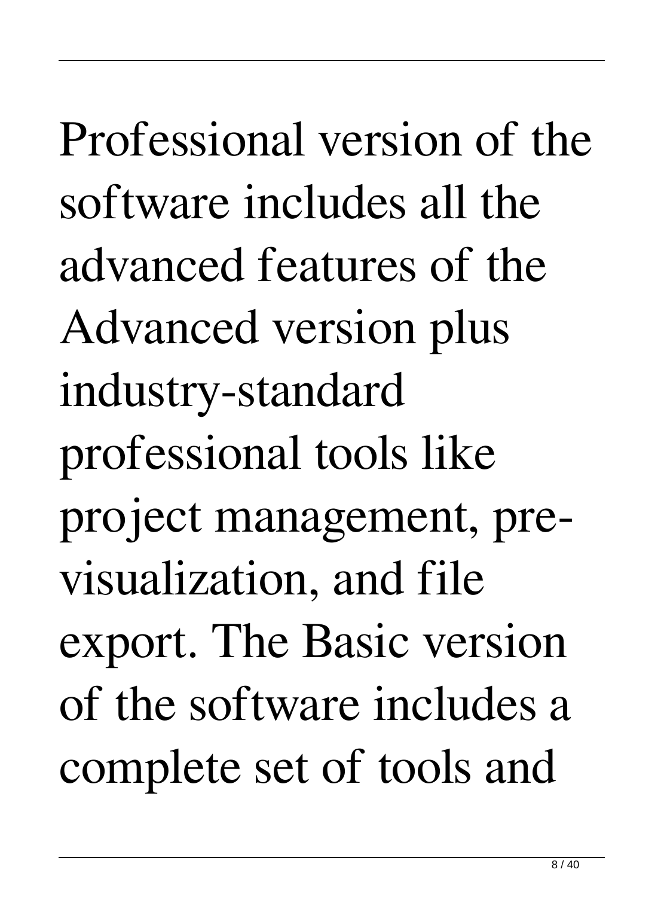Professional version of the software includes all the advanced features of the Advanced version plus industry-standard professional tools like project management, previsualization, and file export. The Basic version of the software includes a complete set of tools and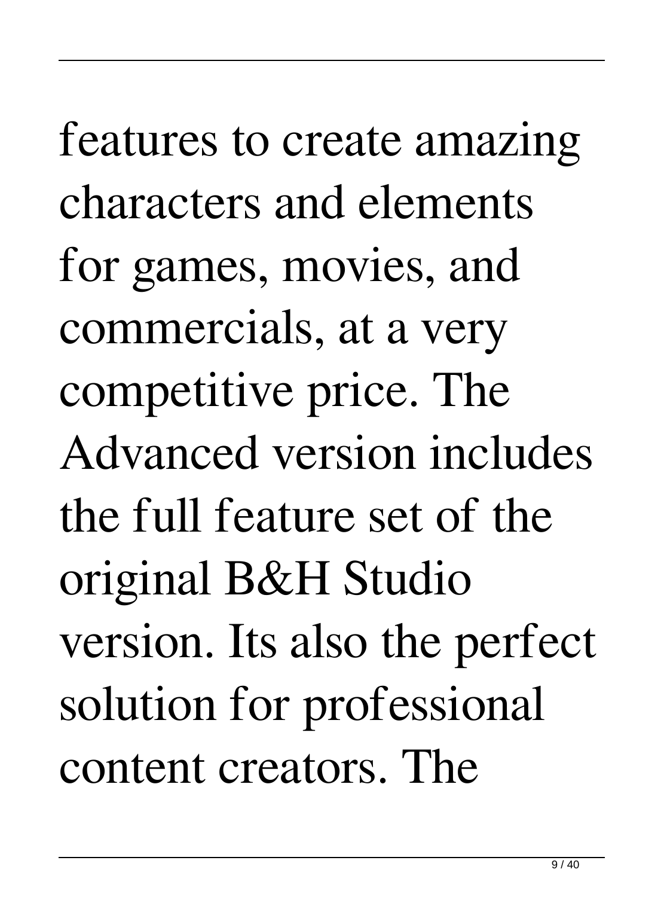features to create amazing characters and elements for games, movies, and commercials, at a very competitive price. The Advanced version includes the full feature set of the original B&H Studio version. Its also the perfect solution for professional content creators. The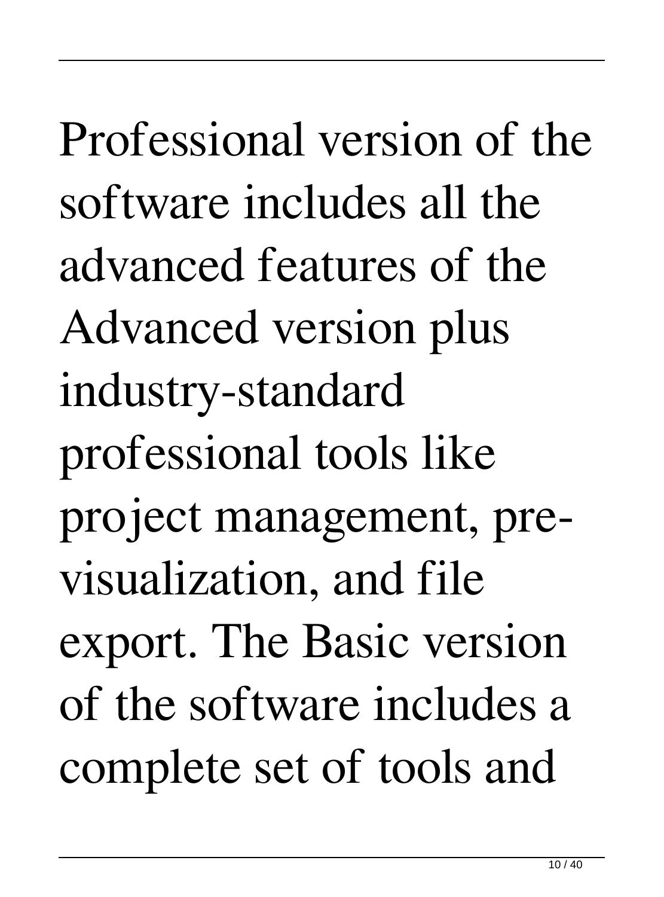Professional version of the software includes all the advanced features of the Advanced version plus industry-standard professional tools like project management, previsualization, and file export. The Basic version of the software includes a complete set of tools and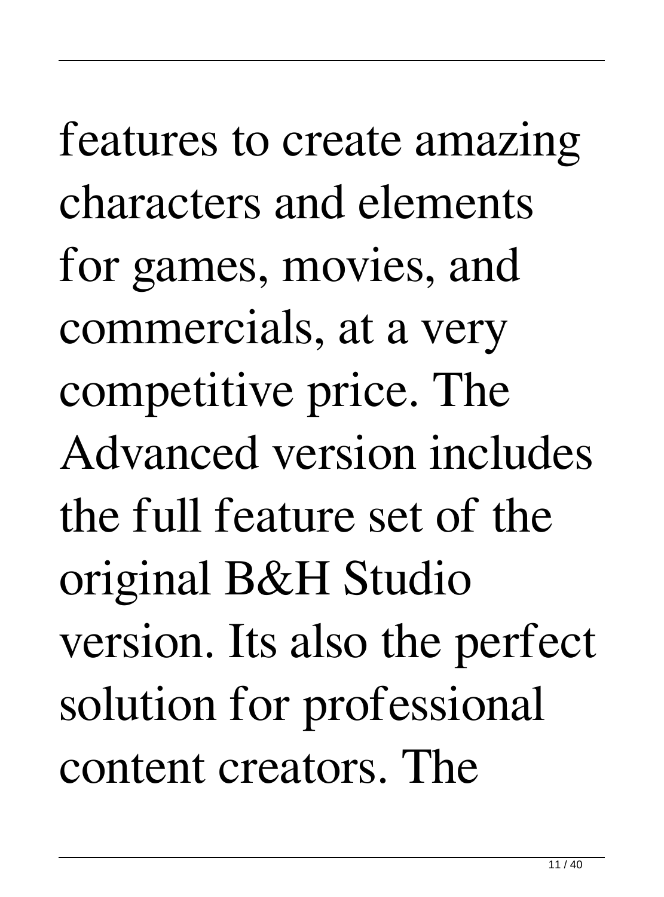features to create amazing characters and elements for games, movies, and commercials, at a very competitive price. The Advanced version includes the full feature set of the original B&H Studio version. Its also the perfect solution for professional content creators. The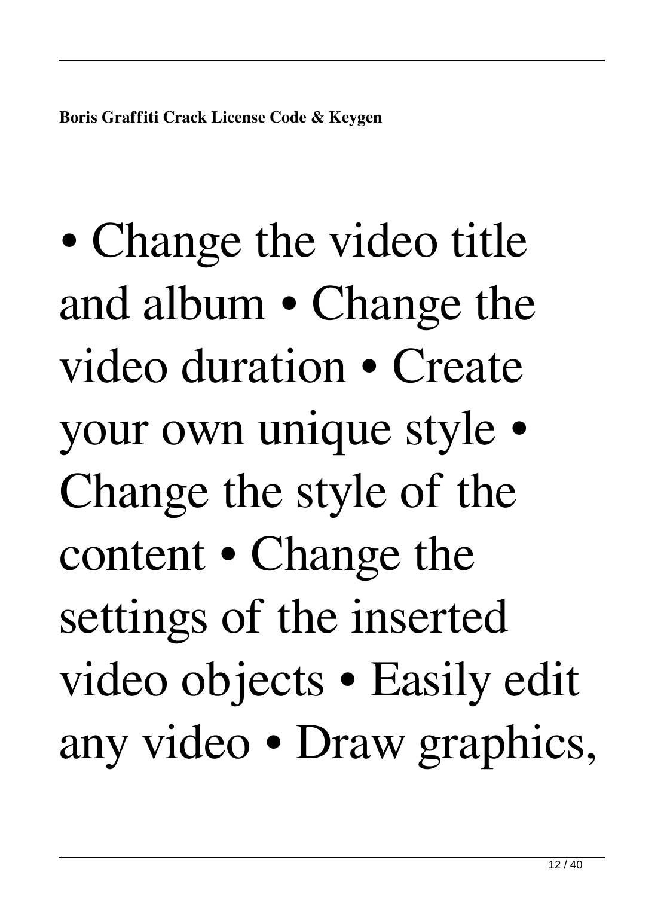• Change the video title and album • Change the video duration • Create your own unique style • Change the style of the content • Change the settings of the inserted video objects • Easily edit any video • Draw graphics,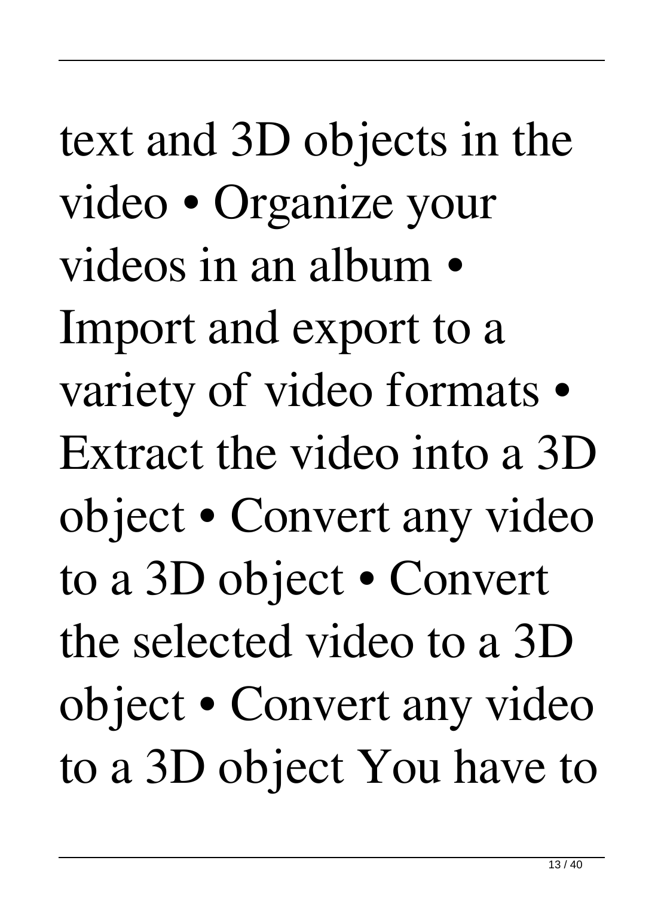text and 3D objects in the video • Organize your videos in an album • Import and export to a variety of video formats • Extract the video into a 3D object • Convert any video to a 3D object • Convert the selected video to a 3D object • Convert any video to a 3D object You have to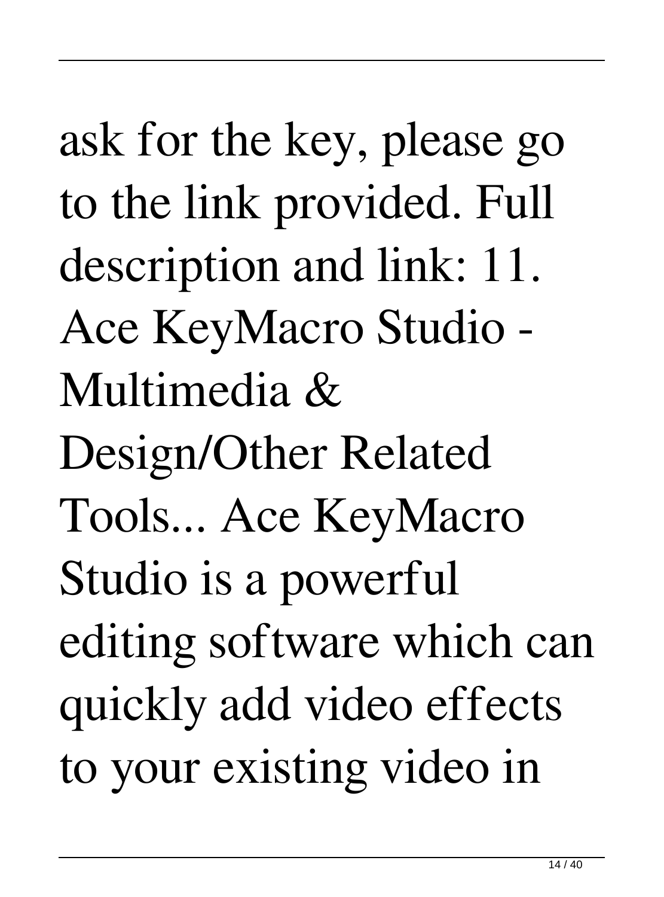ask for the key, please go to the link provided. Full description and link: 11. Ace KeyMacro Studio - Multimedia & Design/Other Related Tools... Ace KeyMacro Studio is a powerful editing software which can quickly add video effects to your existing video in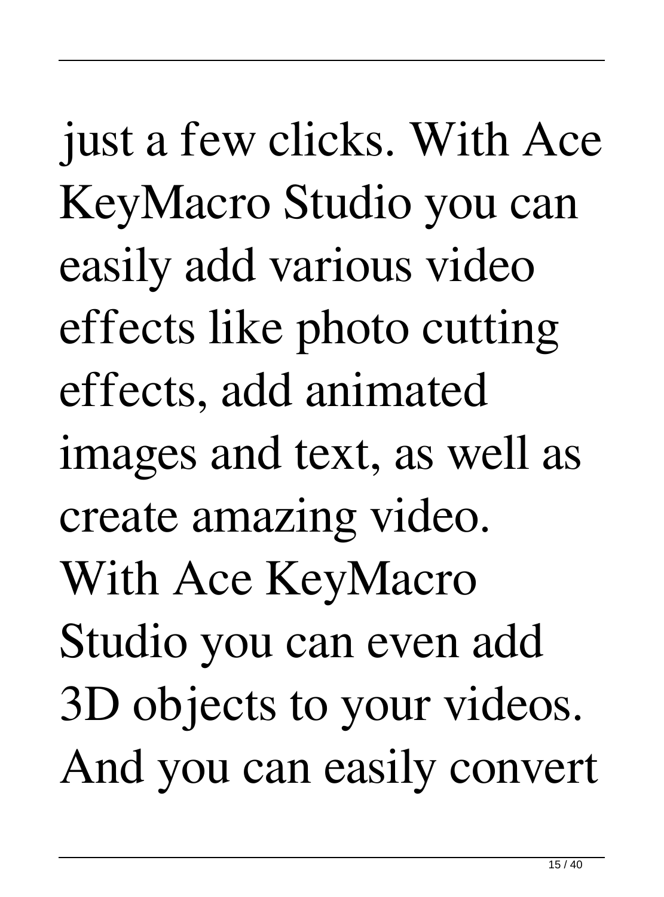just a few clicks. With Ace KeyMacro Studio you can easily add various video effects like photo cutting effects, add animated images and text, as well as create amazing video. With Ace KeyMacro Studio you can even add 3D objects to your videos. And you can easily convert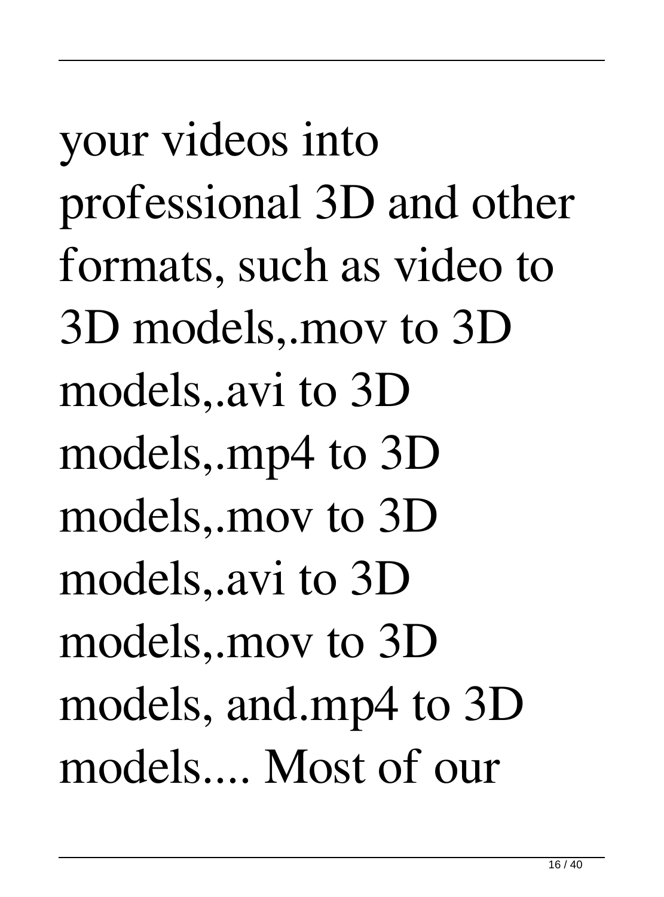your videos into professional 3D and other formats, such as video to 3D models,.mov to 3D models,.avi to 3D models,.mp4 to 3D models,.mov to 3D models,.avi to 3D models,.mov to 3D models, and.mp4 to 3D models.... Most of our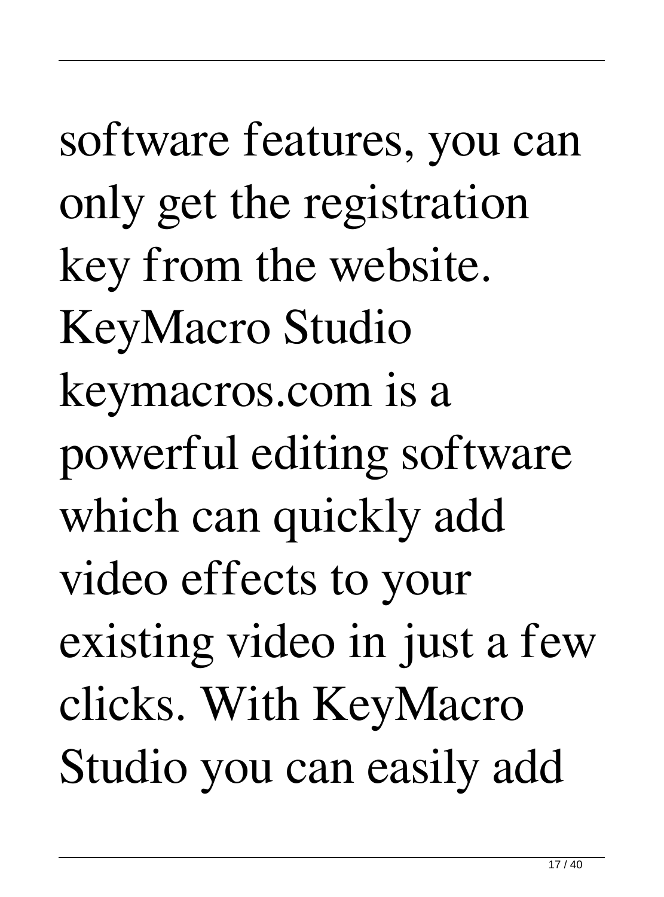software features, you can only get the registration key from the website. KeyMacro Studio keymacros.com is a powerful editing software which can quickly add video effects to your existing video in just a few clicks. With KeyMacro Studio you can easily add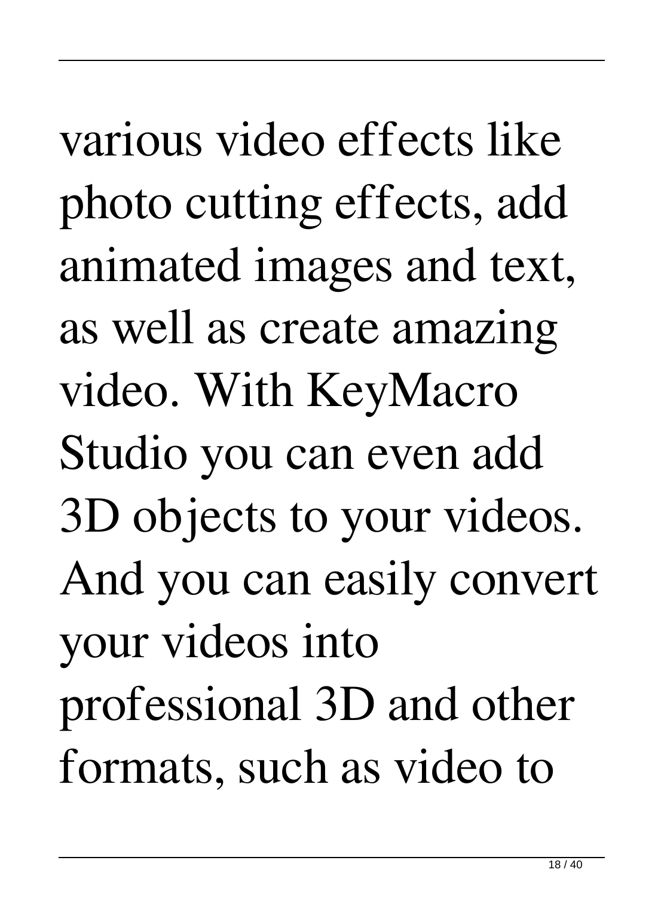various video effects like photo cutting effects, add animated images and text, as well as create amazing video. With KeyMacro Studio you can even add 3D objects to your videos. And you can easily convert your videos into professional 3D and other formats, such as video to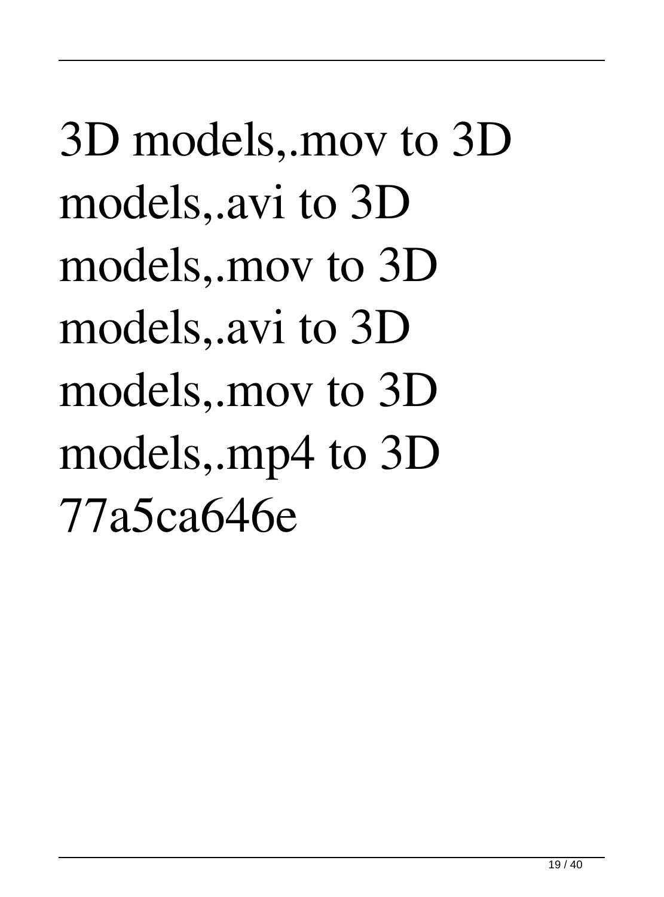3D models,.mov to 3D models,.avi to 3D models,.mov to 3D models,.avi to 3D models,.mov to 3D models,.mp4 to 3D 77a5ca646e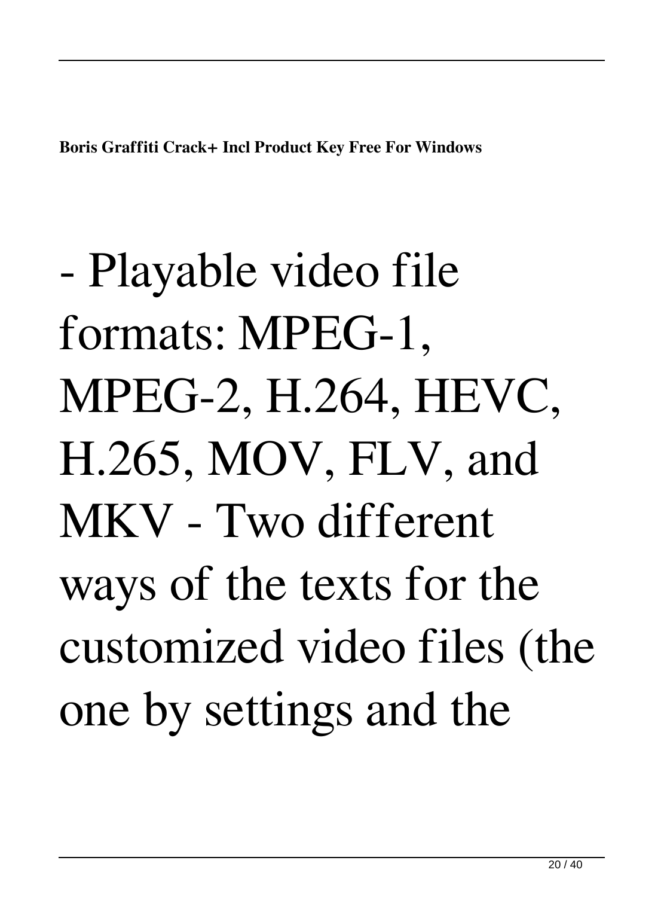**Boris Graffiti Crack+ Incl Product Key Free For Windows**

- Playable video file formats: MPEG-1, MPEG-2, H.264, HEVC, H.265, MOV, FLV, and MKV - Two different ways of the texts for the customized video files (the one by settings and the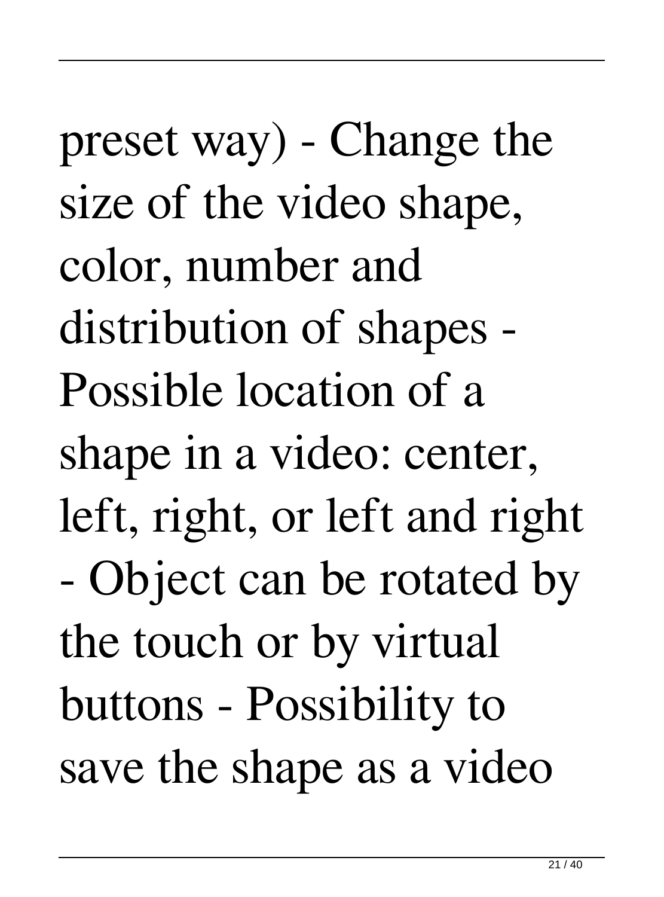preset way) - Change the size of the video shape, color, number and distribution of shapes - Possible location of a shape in a video: center, left, right, or left and right - Object can be rotated by the touch or by virtual buttons - Possibility to save the shape as a video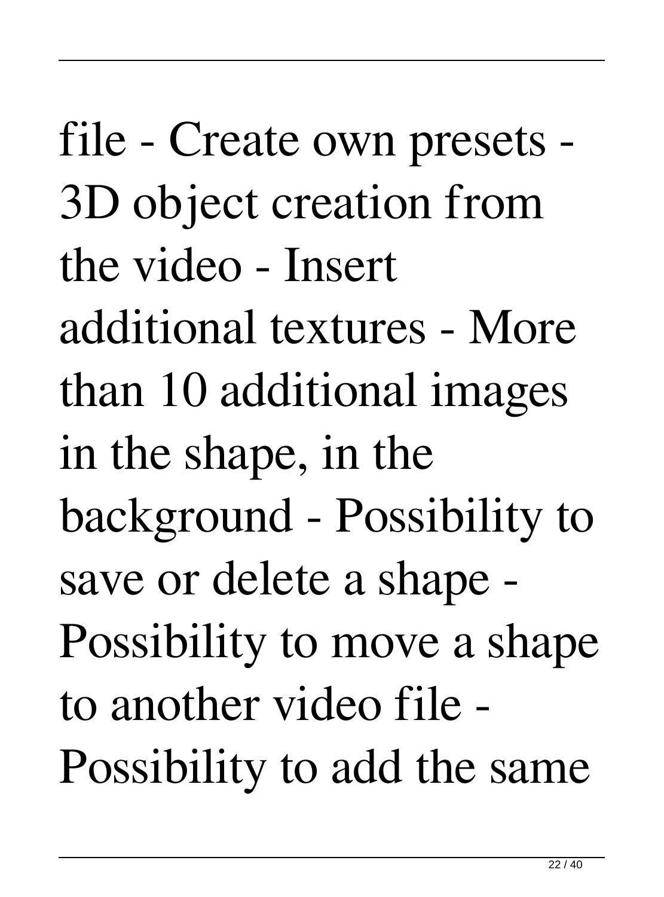file - Create own presets - 3D object creation from the video - Insert additional textures - More than 10 additional images in the shape, in the background - Possibility to save or delete a shape - Possibility to move a shape to another video file - Possibility to add the same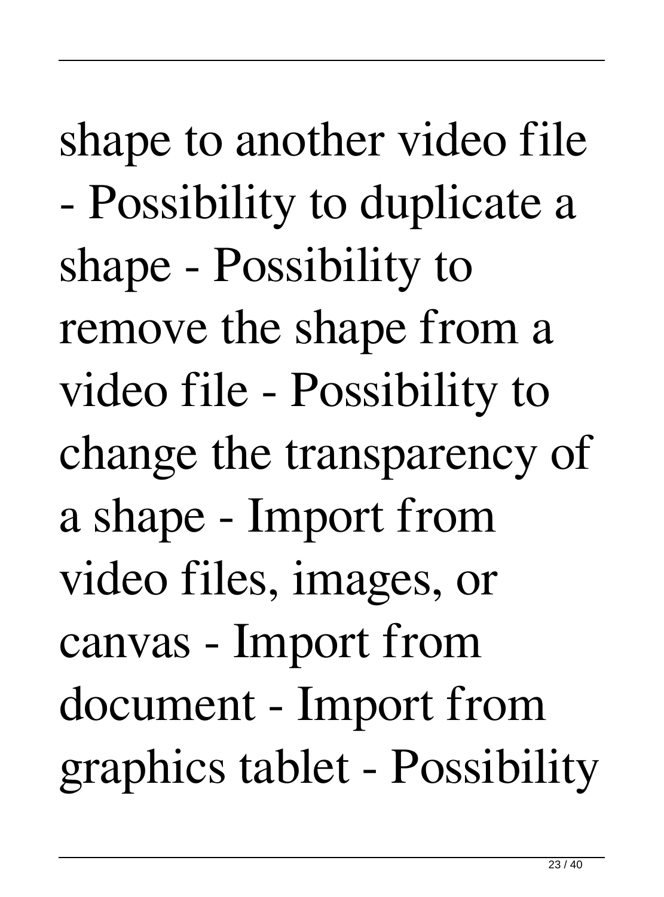shape to another video file - Possibility to duplicate a shape - Possibility to remove the shape from a video file - Possibility to change the transparency of a shape - Import from video files, images, or canvas - Import from document - Import from graphics tablet - Possibility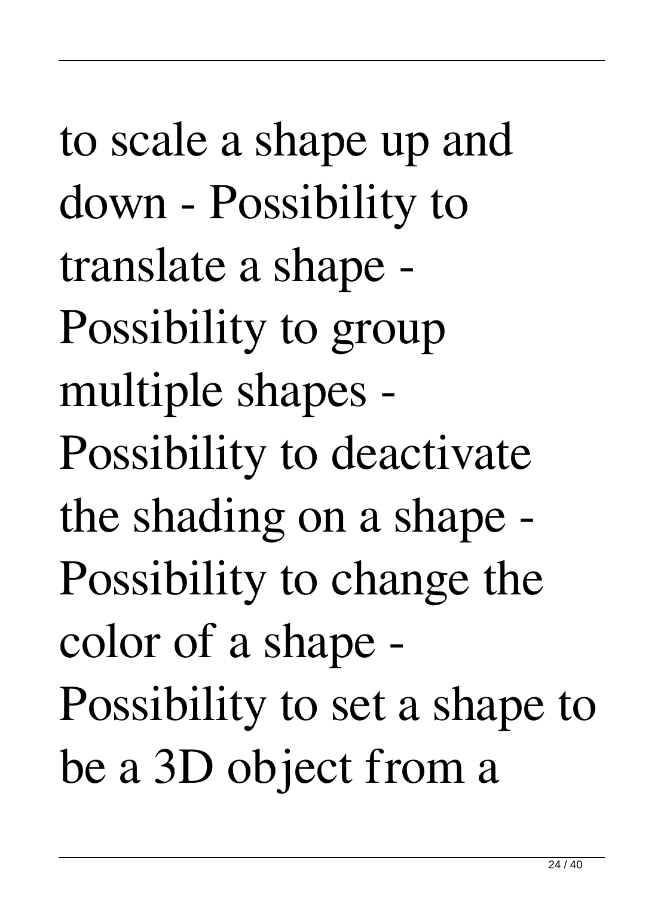to scale a shape up and down - Possibility to translate a shape - Possibility to group multiple shapes - Possibility to deactivate the shading on a shape - Possibility to change the color of a shape - Possibility to set a shape to be a 3D object from a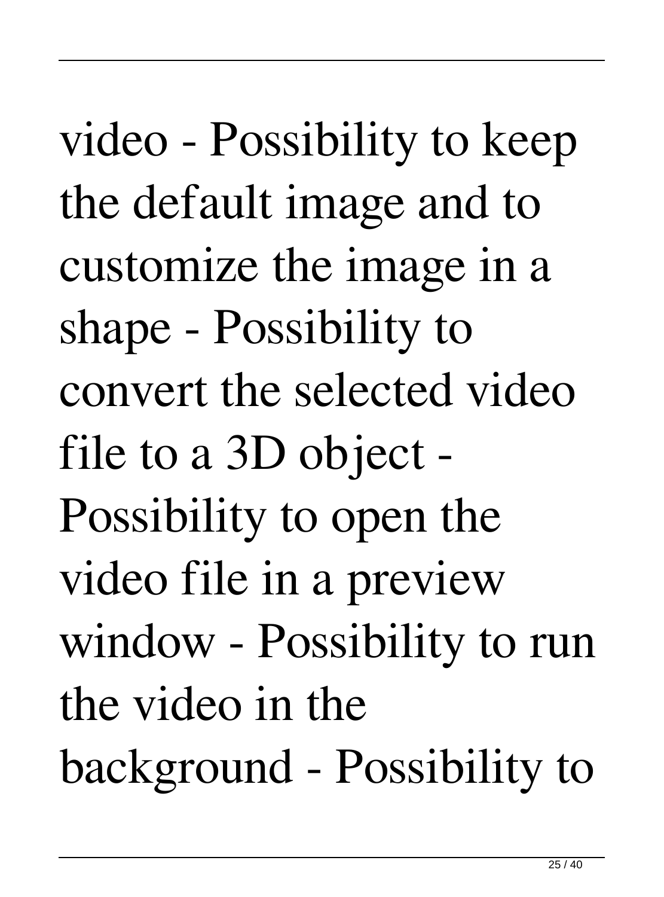video - Possibility to keep the default image and to customize the image in a shape - Possibility to convert the selected video file to a 3D object - Possibility to open the video file in a preview window - Possibility to run the video in the background - Possibility to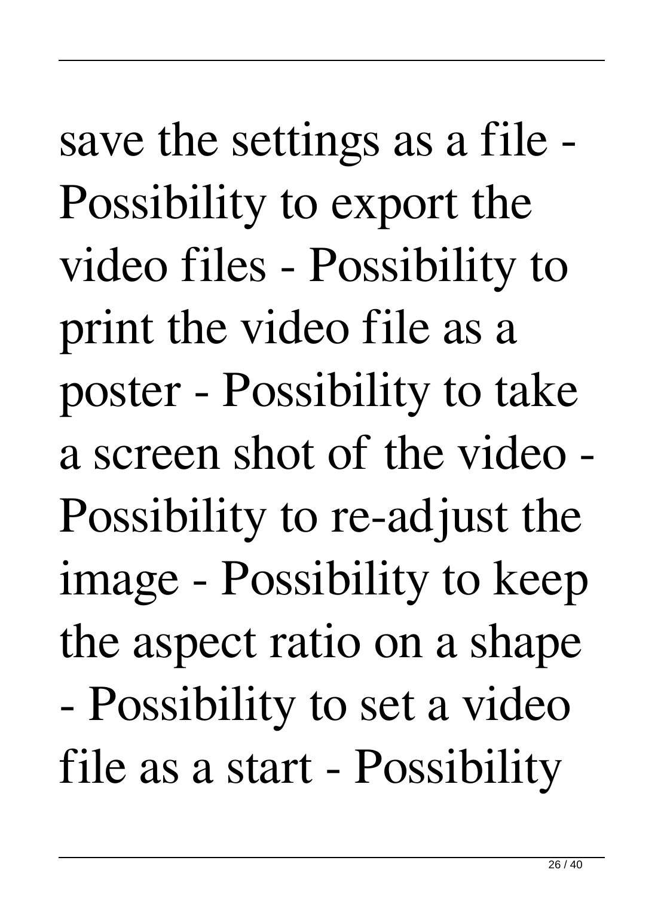save the settings as a file - Possibility to export the video files - Possibility to print the video file as a poster - Possibility to take a screen shot of the video - Possibility to re-adjust the image - Possibility to keep the aspect ratio on a shape - Possibility to set a video file as a start - Possibility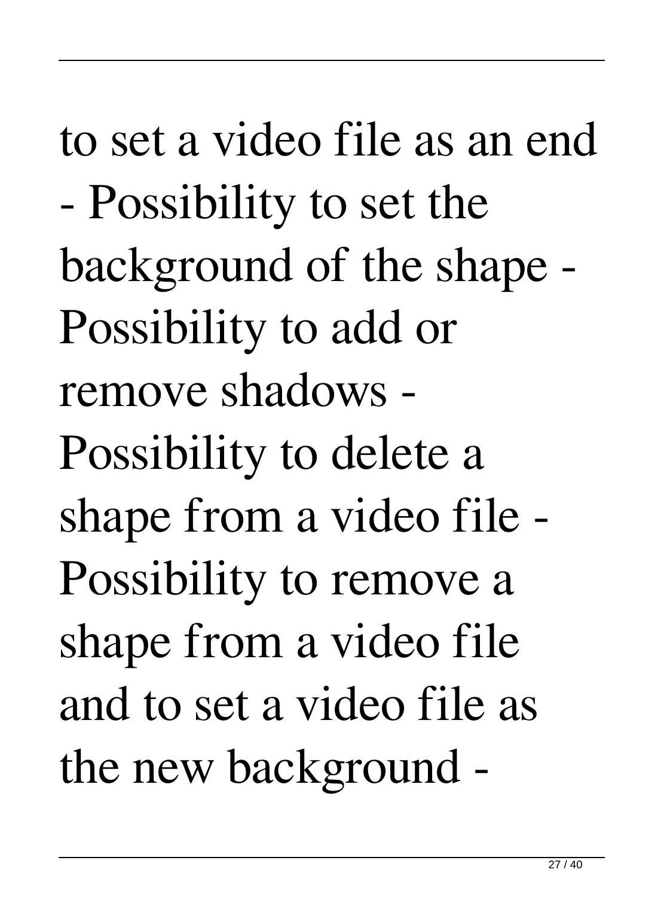to set a video file as an end - Possibility to set the background of the shape - Possibility to add or remove shadows - Possibility to delete a shape from a video file - Possibility to remove a shape from a video file and to set a video file as the new background -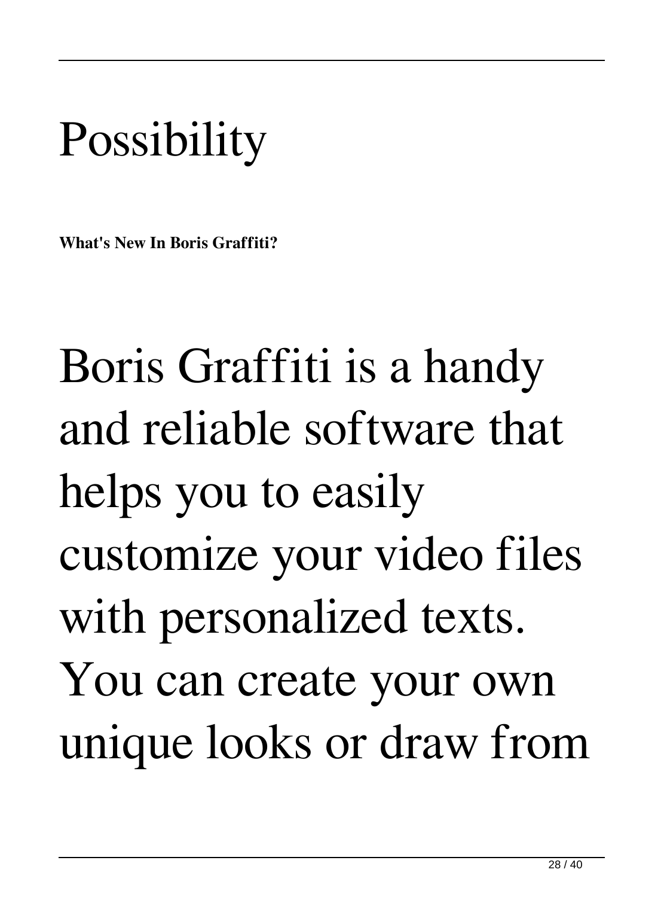## **Possibility**

**What's New In Boris Graffiti?**

Boris Graffiti is a handy and reliable software that helps you to easily customize your video files with personalized texts. You can create your own unique looks or draw from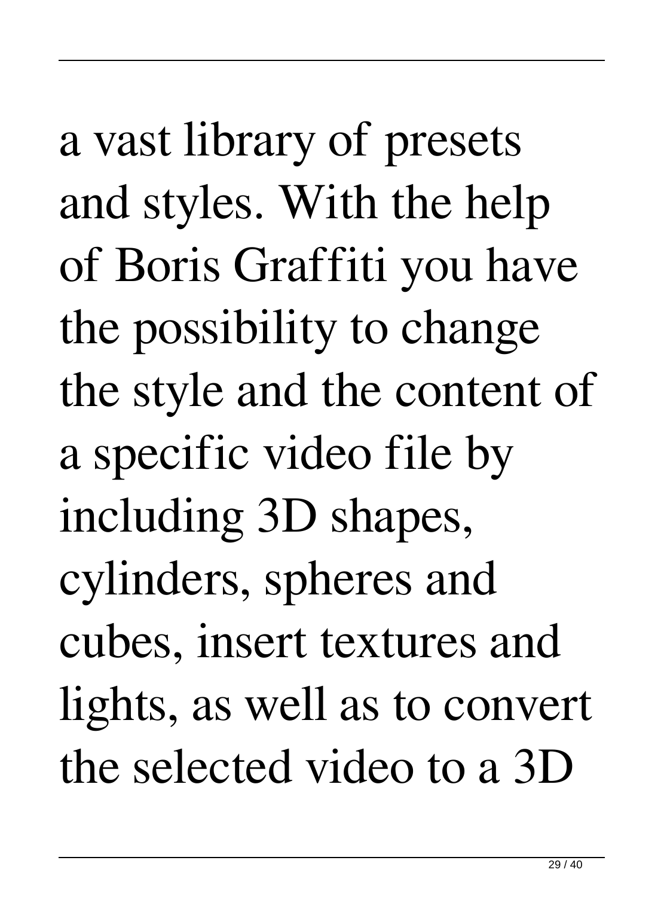a vast library of presets and styles. With the help of Boris Graffiti you have the possibility to change the style and the content of a specific video file by including 3D shapes, cylinders, spheres and cubes, insert textures and lights, as well as to convert the selected video to a 3D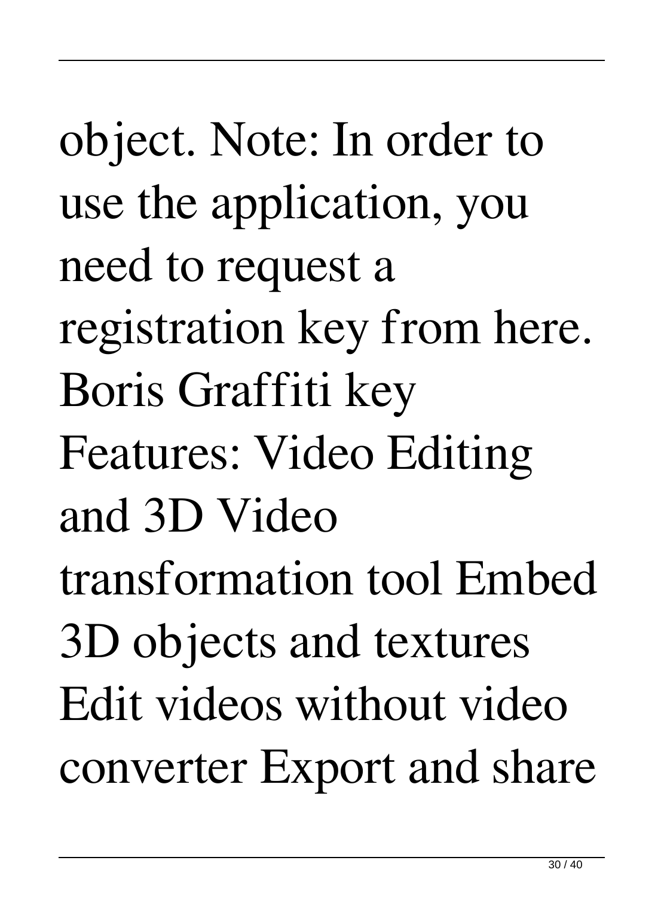object. Note: In order to use the application, you need to request a registration key from here. Boris Graffiti key Features: Video Editing and 3D Video transformation tool Embed 3D objects and textures Edit videos without video converter Export and share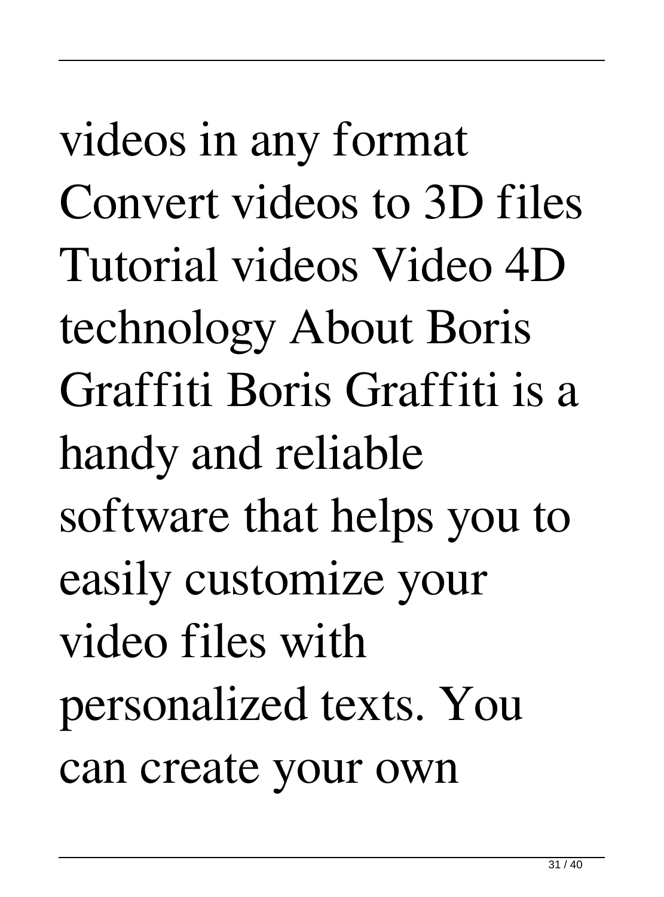videos in any format Convert videos to 3D files Tutorial videos Video 4D technology About Boris Graffiti Boris Graffiti is a handy and reliable software that helps you to easily customize your video files with personalized texts. You can create your own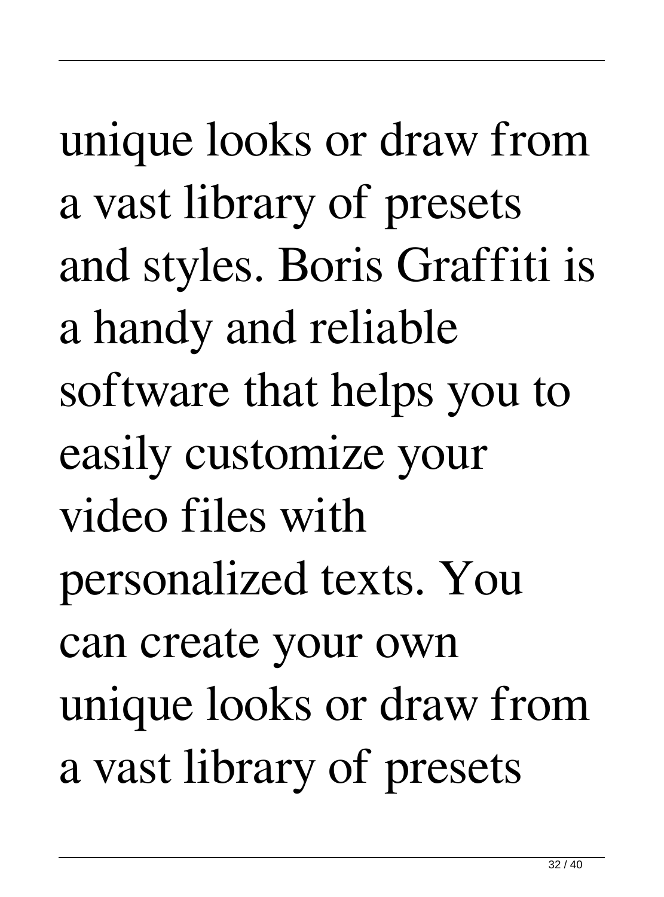unique looks or draw from a vast library of presets and styles. Boris Graffiti is a handy and reliable software that helps you to easily customize your video files with personalized texts. You can create your own unique looks or draw from a vast library of presets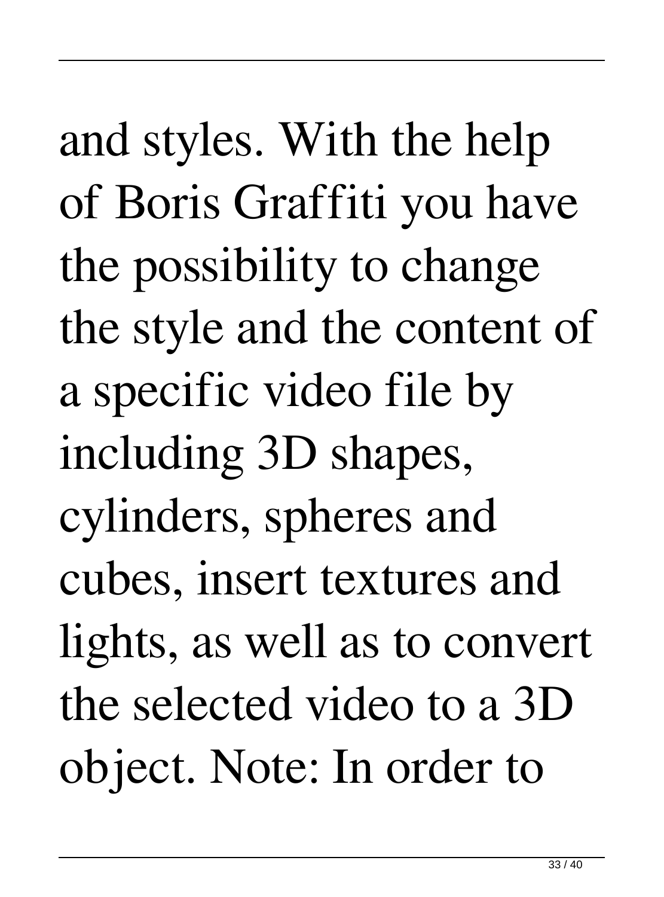and styles. With the help of Boris Graffiti you have the possibility to change the style and the content of a specific video file by including 3D shapes, cylinders, spheres and cubes, insert textures and lights, as well as to convert the selected video to a 3D object. Note: In order to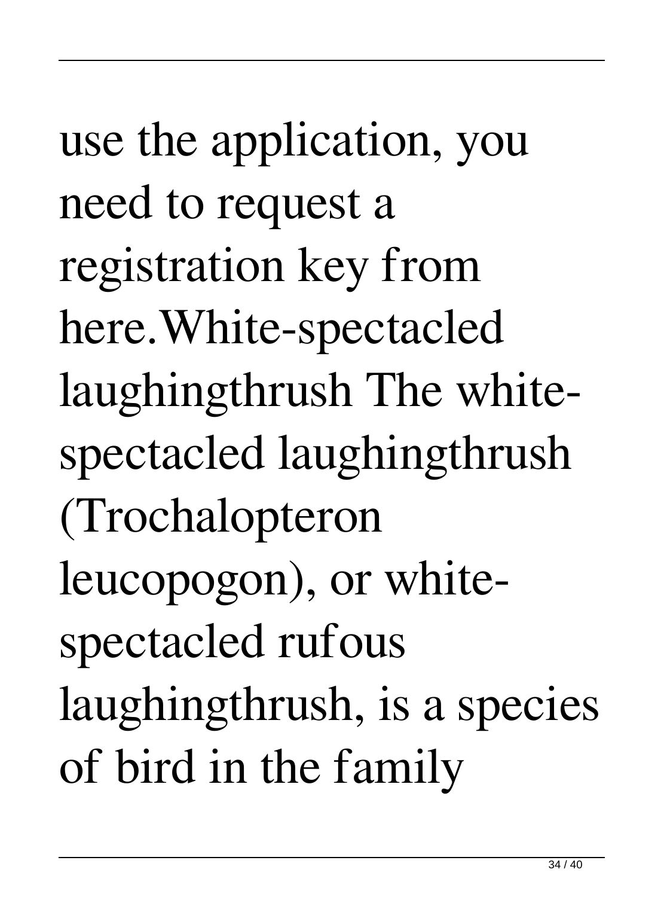use the application, you need to request a registration key from here.White-spectacled laughingthrush The whitespectacled laughingthrush (Trochalopteron leucopogon), or whitespectacled rufous laughingthrush, is a species of bird in the family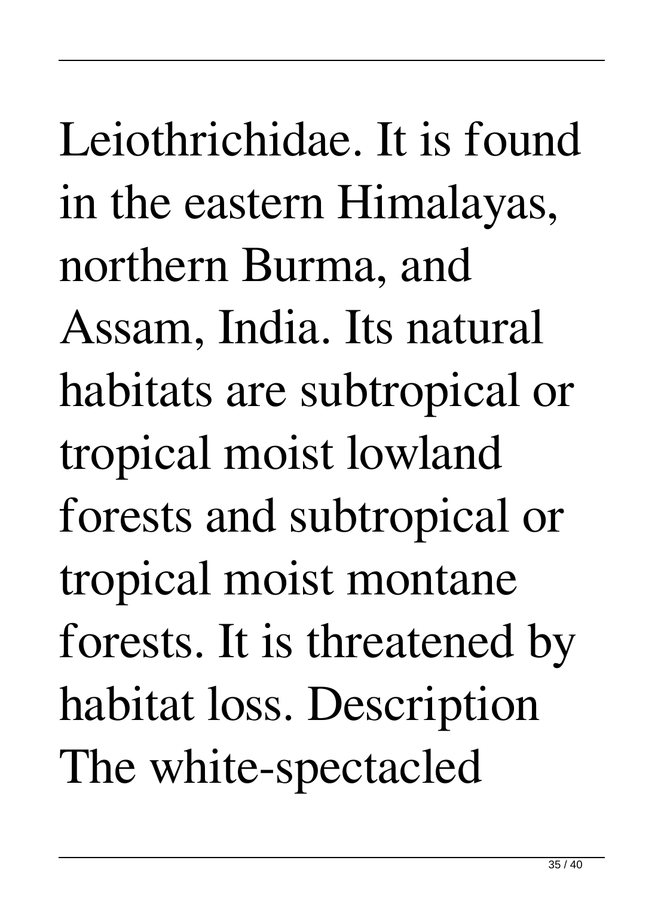## Leiothrichidae. It is found in the eastern Himalayas, northern Burma, and Assam, India. Its natural habitats are subtropical or tropical moist lowland forests and subtropical or tropical moist montane forests. It is threatened by habitat loss. Description The white-spectacled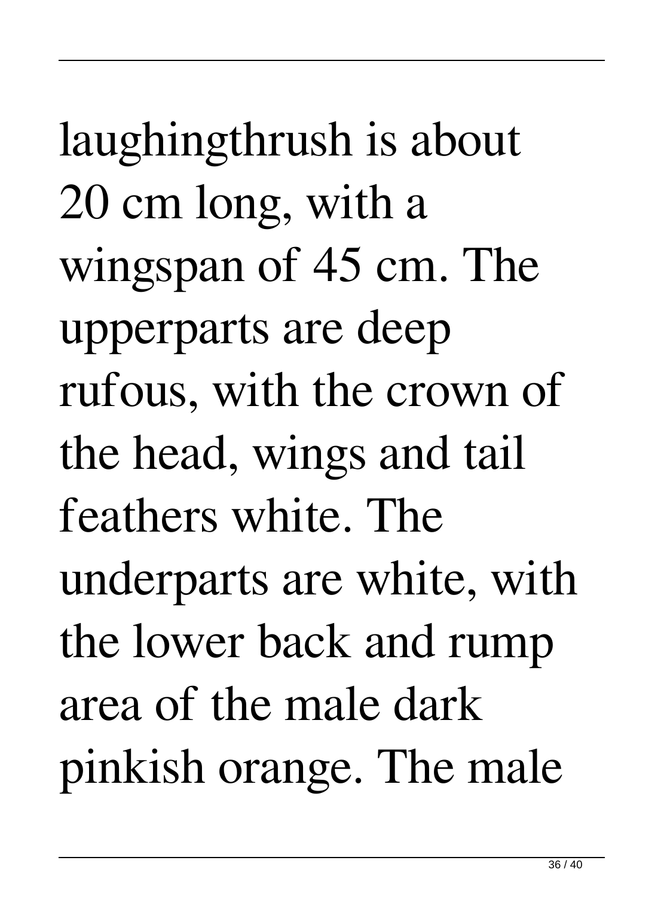laughingthrush is about 20 cm long, with a wingspan of 45 cm. The upperparts are deep rufous, with the crown of the head, wings and tail feathers white. The underparts are white, with the lower back and rump area of the male dark pinkish orange. The male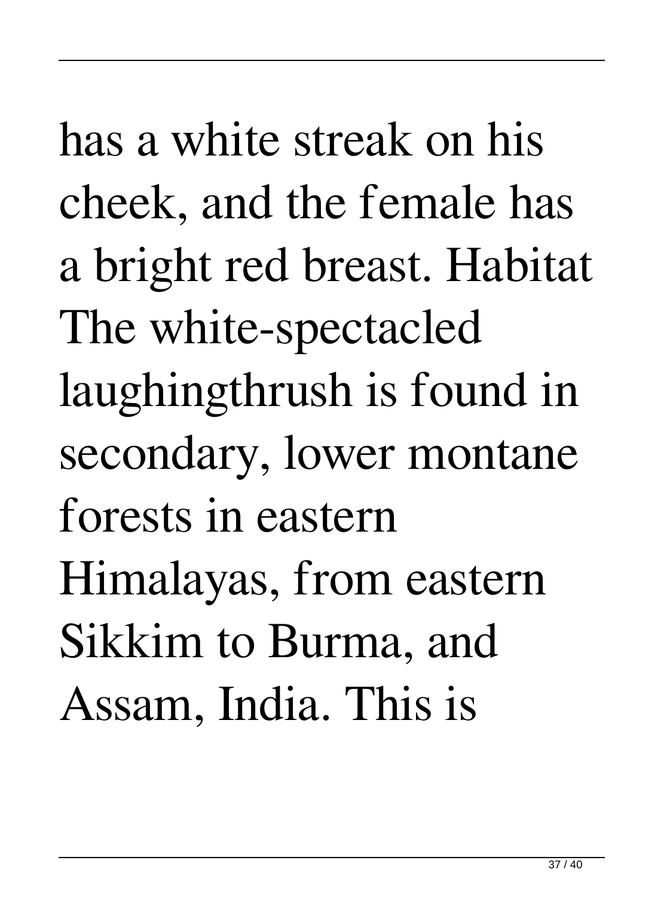has a white streak on his cheek, and the female has a bright red breast. Habitat The white-spectacled laughingthrush is found in secondary, lower montane forests in eastern Himalayas, from eastern Sikkim to Burma, and Assam, India. This is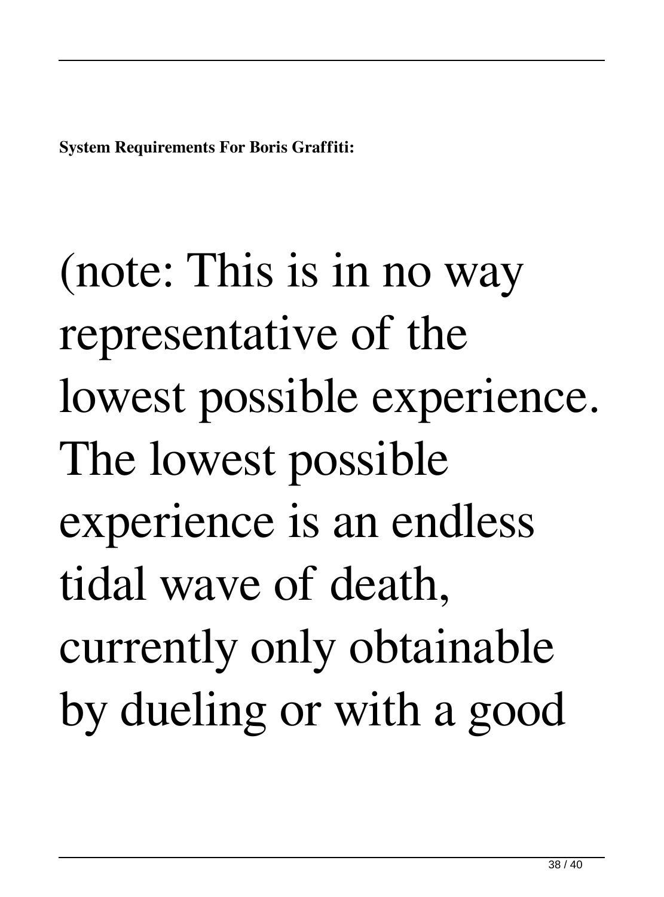**System Requirements For Boris Graffiti:**

(note: This is in no way representative of the lowest possible experience. The lowest possible experience is an endless tidal wave of death, currently only obtainable by dueling or with a good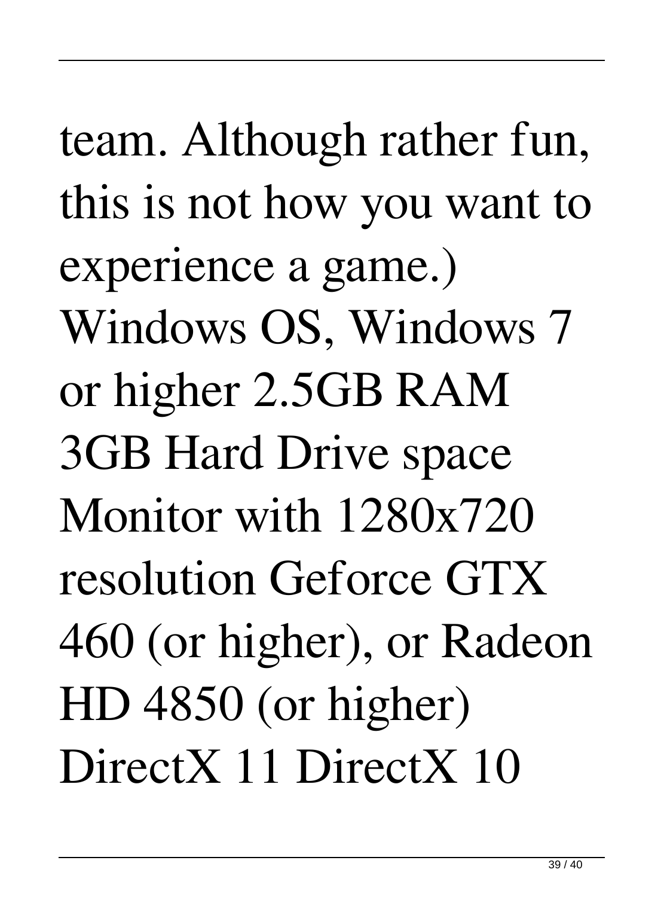team. Although rather fun, this is not how you want to experience a game.) Windows OS, Windows 7 or higher 2.5GB RAM 3GB Hard Drive space Monitor with 1280x720 resolution Geforce GTX 460 (or higher), or Radeon HD 4850 (or higher) DirectX 11 DirectX 10